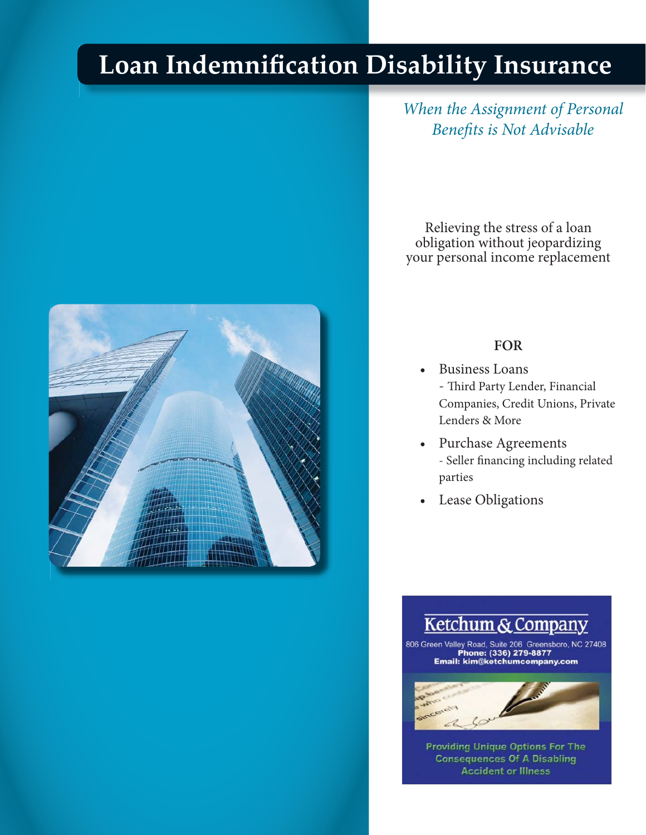# **Loan Indemnification Disability Insurance**



*When the Assignment of Personal Benefits is Not Advisable* 

Relieving the stress of a loan obligation without jeopardizing your personal income replacement

#### **FOR**

- Business Loans - Third Party Lender, Financial Companies, Credit Unions, Private Lenders & More
- Purchase Agreements - Seller financing including related parties
- Lease Obligations

## Ketchum & Company

806 Green Valley Road, Suite 206 Greensboro, NC 27408<br>Phone: (336) 279-8877<br>Email: kim@ketchumcompany.com



**Accident or Illness Providing Unique Options For The Consequences Of A Disabling** 

*Lloyd's Coverholder*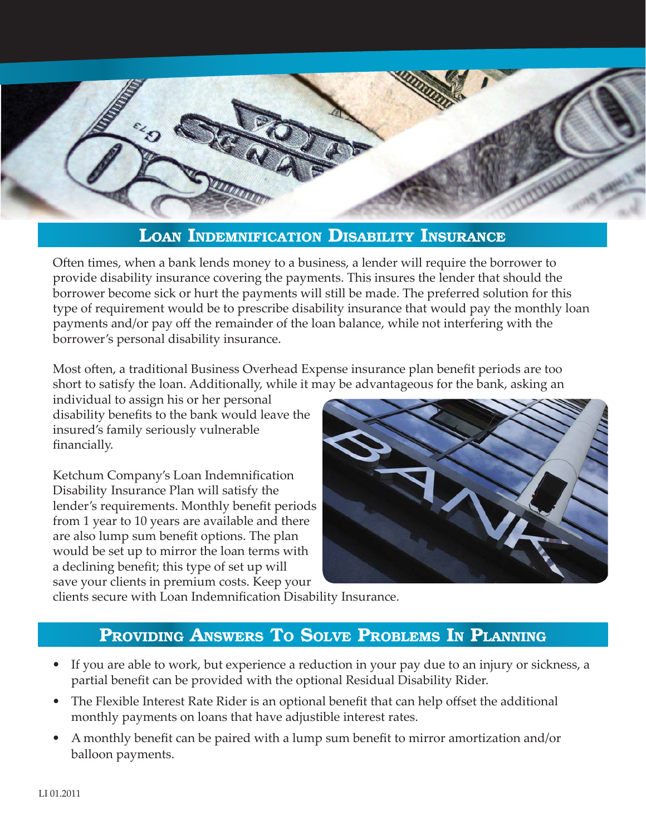

#### **LOAN INDEMNIFICATION DISABILITY INSURANCE**

Often times, when a bank lends money to a business, a lender will require the borrower to provide disability insurance covering the payments. This insures the lender that should the borrower become sick or hurt the payments will still be made. The preferred solution for this type of requirement would be to prescribe disability insurance that would pay the monthly loan payments and/or pay off the remainder of the loan balance, while not interfering with the borrower's personal disability insurance.

Most often, a traditional Business Overhead Expense insurance plan benefit periods are too short to satisfy the loan. Additionally, while it may be advantageous for the bank, asking an

individual to assign his or her personal disability benefits to the bank would leave the insured's family seriously vulnerable financially.

Ketchum Company's Loan Indemnification Disability Insurance Plan will satisfy the lender's requirements. Monthly benefit periods from 1 year to 10 years are available and there are also lump sum benefit options. The plan would be set up to mirror the loan terms with a declining benefit; this type of set up will save your clients in premium costs. Keep your



clients secure with Loan Indemnification Disability Insurance.

### **PROVIDING ANSWERS TO SOLVE PROBLEMS IN PLANNING**

- If you are able to work, but experience a reduction in your pay due to an injury or sickness, a partial benefit can be provided with the optional Residual Disability Rider.
- The Flexible Interest Rate Rider is an optional benefit that can help offset the additional monthly payments on loans that have adjustible interest rates.
- A monthly benefit can be paired with a lump sum benefit to mirror amortization and/or balloon payments.